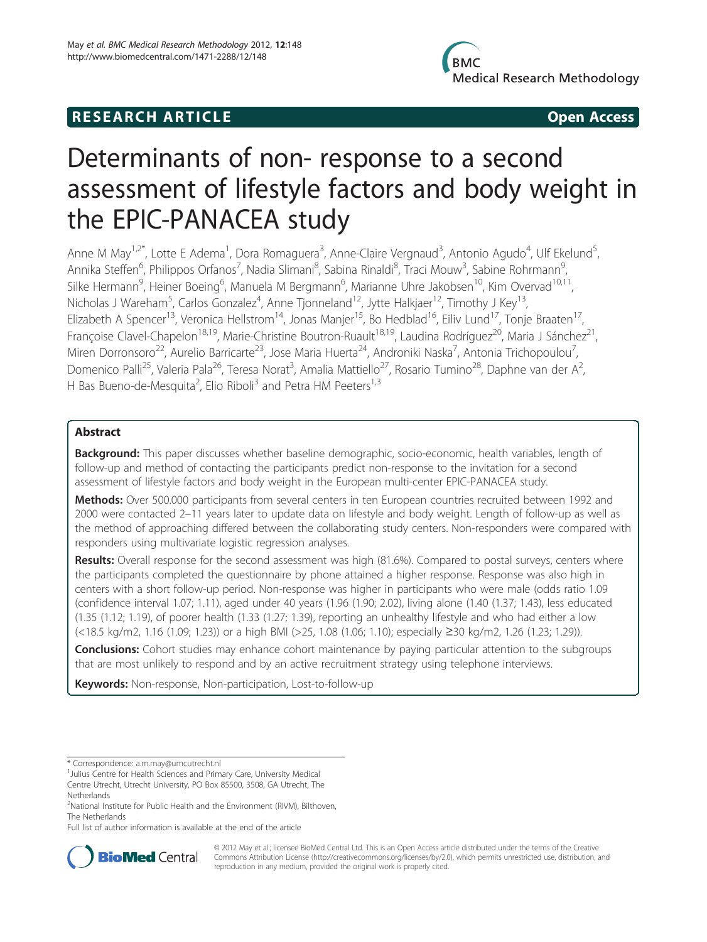# **RESEARCH ARTICLE Example 2014 Open Access**

**Medical Research Methodology** 

# Determinants of non- response to a second assessment of lifestyle factors and body weight in the EPIC-PANACEA study

Anne M May<sup>1,2\*</sup>, Lotte E Adema<sup>1</sup>, Dora Romaguera<sup>3</sup>, Anne-Claire Vergnaud<sup>3</sup>, Antonio Agudo<sup>4</sup>, Ulf Ekelund<sup>5</sup> , Annika Steffen<sup>6</sup>, Philippos Orfanos<sup>7</sup>, Nadia Slimani<sup>8</sup>, Sabina Rinaldi<sup>8</sup>, Traci Mouw<sup>3</sup>, Sabine Rohrmann<sup>s</sup> , Silke Hermann<sup>9</sup>, Heiner Boeing<sup>6</sup>, Manuela M Bergmann<sup>6</sup>, Marianne Uhre Jakobsen<sup>10</sup>, Kim Overvad<sup>10,11</sup>, Nicholas J Wareham<sup>5</sup>, Carlos Gonzalez<sup>4</sup>, Anne Tjonneland<sup>12</sup>, Jytte Halkjaer<sup>12</sup>, Timothy J Key<sup>13</sup>, Elizabeth A Spencer<sup>13</sup>, Veronica Hellstrom<sup>14</sup>, Jonas Manjer<sup>15</sup>, Bo Hedblad<sup>16</sup>, Eiliv Lund<sup>17</sup>, Tonje Braaten<sup>17</sup>, Françoise Clavel-Chapelon<sup>18,19</sup>, Marie-Christine Boutron-Ruault<sup>18,19</sup>, Laudina Rodríguez<sup>20</sup>, Maria J Sánchez<sup>21</sup>, Miren Dorronsoro<sup>22</sup>, Aurelio Barricarte<sup>23</sup>, Jose Maria Huerta<sup>24</sup>, Androniki Naska<sup>7</sup>, Antonia Trichopoulou<sup>7</sup> , Domenico Palli<sup>25</sup>, Valeria Pala<sup>26</sup>, Teresa Norat<sup>3</sup>, Amalia Mattiello<sup>27</sup>, Rosario Tumino<sup>28</sup>, Daphne van der A<sup>2</sup> , H Bas Bueno-de-Mesquita<sup>2</sup>, Elio Riboli<sup>3</sup> and Petra HM Peeters<sup>1,3</sup>

# Abstract

Background: This paper discusses whether baseline demographic, socio-economic, health variables, length of follow-up and method of contacting the participants predict non-response to the invitation for a second assessment of lifestyle factors and body weight in the European multi-center EPIC-PANACEA study.

Methods: Over 500.000 participants from several centers in ten European countries recruited between 1992 and 2000 were contacted 2–11 years later to update data on lifestyle and body weight. Length of follow-up as well as the method of approaching differed between the collaborating study centers. Non-responders were compared with responders using multivariate logistic regression analyses.

Results: Overall response for the second assessment was high (81.6%). Compared to postal surveys, centers where the participants completed the questionnaire by phone attained a higher response. Response was also high in centers with a short follow-up period. Non-response was higher in participants who were male (odds ratio 1.09 (confidence interval 1.07; 1.11), aged under 40 years (1.96 (1.90; 2.02), living alone (1.40 (1.37; 1.43), less educated (1.35 (1.12; 1.19), of poorer health (1.33 (1.27; 1.39), reporting an unhealthy lifestyle and who had either a low (<18.5 kg/m2, 1.16 (1.09; 1.23)) or a high BMI (>25, 1.08 (1.06; 1.10); especially ≥30 kg/m2, 1.26 (1.23; 1.29)). **Conclusions:** Cohort studies may enhance cohort maintenance by paying particular attention to the subgroups

that are most unlikely to respond and by an active recruitment strategy using telephone interviews.

Keywords: Non-response, Non-participation, Lost-to-follow-up

Full list of author information is available at the end of the article



© 2012 May et al.; licensee BioMed Central Ltd. This is an Open Access article distributed under the terms of the Creative Commons Attribution License [\(http://creativecommons.org/licenses/by/2.0\)](http://creativecommons.org/licenses/by/2.0), which permits unrestricted use, distribution, and reproduction in any medium, provided the original work is properly cited.

<sup>\*</sup> Correspondence: [a.m.may@umcutrecht.nl](mailto:a.m.may@umcutrecht.nl) <sup>1</sup>

<sup>&</sup>lt;sup>1</sup> Julius Centre for Health Sciences and Primary Care, University Medical Centre Utrecht, Utrecht University, PO Box 85500, 3508, GA Utrecht, The

**Netherlands** 

<sup>&</sup>lt;sup>2</sup>National Institute for Public Health and the Environment (RIVM), Bilthoven, The Netherlands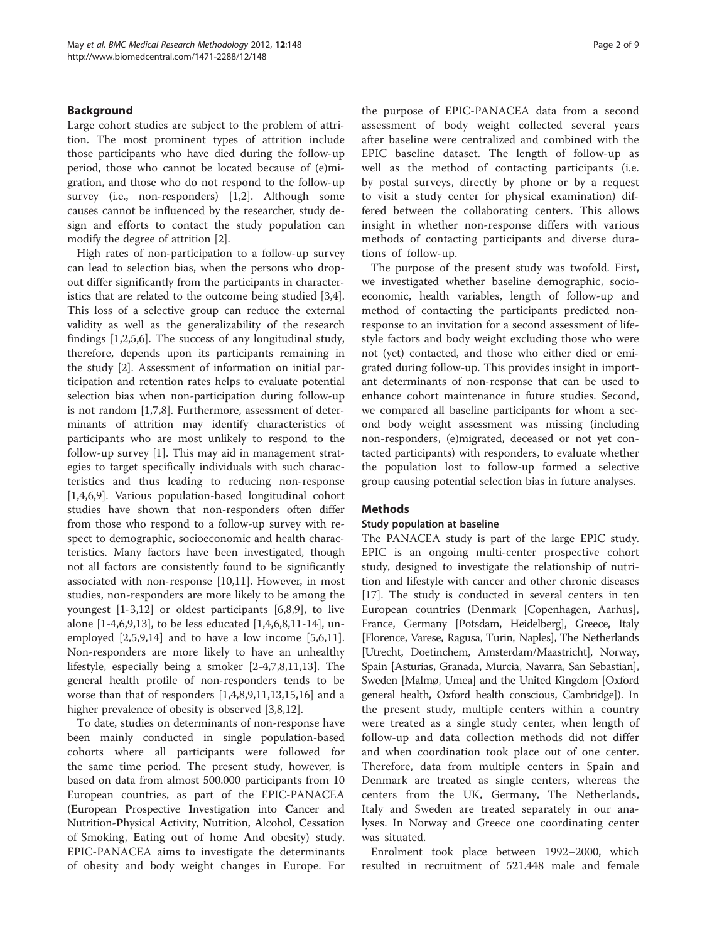# Background

Large cohort studies are subject to the problem of attrition. The most prominent types of attrition include those participants who have died during the follow-up period, those who cannot be located because of (e)migration, and those who do not respond to the follow-up survey (i.e., non-responders) [\[1,2](#page-8-0)]. Although some causes cannot be influenced by the researcher, study design and efforts to contact the study population can modify the degree of attrition [[2\]](#page-8-0).

High rates of non-participation to a follow-up survey can lead to selection bias, when the persons who dropout differ significantly from the participants in characteristics that are related to the outcome being studied [\[3,4](#page-8-0)]. This loss of a selective group can reduce the external validity as well as the generalizability of the research findings [\[1,2,5,6](#page-8-0)]. The success of any longitudinal study, therefore, depends upon its participants remaining in the study [\[2](#page-8-0)]. Assessment of information on initial participation and retention rates helps to evaluate potential selection bias when non-participation during follow-up is not random [[1,7,8\]](#page-8-0). Furthermore, assessment of determinants of attrition may identify characteristics of participants who are most unlikely to respond to the follow-up survey [[1\]](#page-8-0). This may aid in management strategies to target specifically individuals with such characteristics and thus leading to reducing non-response [[1,4,6,9\]](#page-8-0). Various population-based longitudinal cohort studies have shown that non-responders often differ from those who respond to a follow-up survey with respect to demographic, socioeconomic and health characteristics. Many factors have been investigated, though not all factors are consistently found to be significantly associated with non-response [[10,11\]](#page-8-0). However, in most studies, non-responders are more likely to be among the youngest [\[1](#page-8-0)-[3,12\]](#page-8-0) or oldest participants [[6,8,9\]](#page-8-0), to live alone [[1-4,6,9,13](#page-8-0)], to be less educated [\[1](#page-8-0),[4](#page-8-0),[6,8,11-14\]](#page-8-0), unemployed  $[2,5,9,14]$  $[2,5,9,14]$  $[2,5,9,14]$  $[2,5,9,14]$  and to have a low income  $[5,6,11]$  $[5,6,11]$ . Non-responders are more likely to have an unhealthy lifestyle, especially being a smoker [[2-4,7,8,11,13](#page-8-0)]. The general health profile of non-responders tends to be worse than that of responders [\[1,4,8](#page-8-0),[9](#page-8-0),[11](#page-8-0),[13](#page-8-0),[15,16](#page-8-0)] and a higher prevalence of obesity is observed [\[3,8,12](#page-8-0)].

To date, studies on determinants of non-response have been mainly conducted in single population-based cohorts where all participants were followed for the same time period. The present study, however, is based on data from almost 500.000 participants from 10 European countries, as part of the EPIC-PANACEA (European Prospective Investigation into Cancer and Nutrition-Physical Activity, Nutrition, Alcohol, Cessation of Smoking, Eating out of home And obesity) study. EPIC-PANACEA aims to investigate the determinants of obesity and body weight changes in Europe. For

the purpose of EPIC-PANACEA data from a second assessment of body weight collected several years after baseline were centralized and combined with the EPIC baseline dataset. The length of follow-up as well as the method of contacting participants (i.e. by postal surveys, directly by phone or by a request to visit a study center for physical examination) differed between the collaborating centers. This allows insight in whether non-response differs with various methods of contacting participants and diverse durations of follow-up.

The purpose of the present study was twofold. First, we investigated whether baseline demographic, socioeconomic, health variables, length of follow-up and method of contacting the participants predicted nonresponse to an invitation for a second assessment of lifestyle factors and body weight excluding those who were not (yet) contacted, and those who either died or emigrated during follow-up. This provides insight in important determinants of non-response that can be used to enhance cohort maintenance in future studies. Second, we compared all baseline participants for whom a second body weight assessment was missing (including non-responders, (e)migrated, deceased or not yet contacted participants) with responders, to evaluate whether the population lost to follow-up formed a selective group causing potential selection bias in future analyses.

# **Methods**

#### Study population at baseline

The PANACEA study is part of the large EPIC study. EPIC is an ongoing multi-center prospective cohort study, designed to investigate the relationship of nutrition and lifestyle with cancer and other chronic diseases [[17\]](#page-8-0). The study is conducted in several centers in ten European countries (Denmark [Copenhagen, Aarhus], France, Germany [Potsdam, Heidelberg], Greece, Italy [Florence, Varese, Ragusa, Turin, Naples], The Netherlands [Utrecht, Doetinchem, Amsterdam/Maastricht], Norway, Spain [Asturias, Granada, Murcia, Navarra, San Sebastian], Sweden [Malmø, Umea] and the United Kingdom [Oxford general health, Oxford health conscious, Cambridge]). In the present study, multiple centers within a country were treated as a single study center, when length of follow-up and data collection methods did not differ and when coordination took place out of one center. Therefore, data from multiple centers in Spain and Denmark are treated as single centers, whereas the centers from the UK, Germany, The Netherlands, Italy and Sweden are treated separately in our analyses. In Norway and Greece one coordinating center was situated.

Enrolment took place between 1992–2000, which resulted in recruitment of 521.448 male and female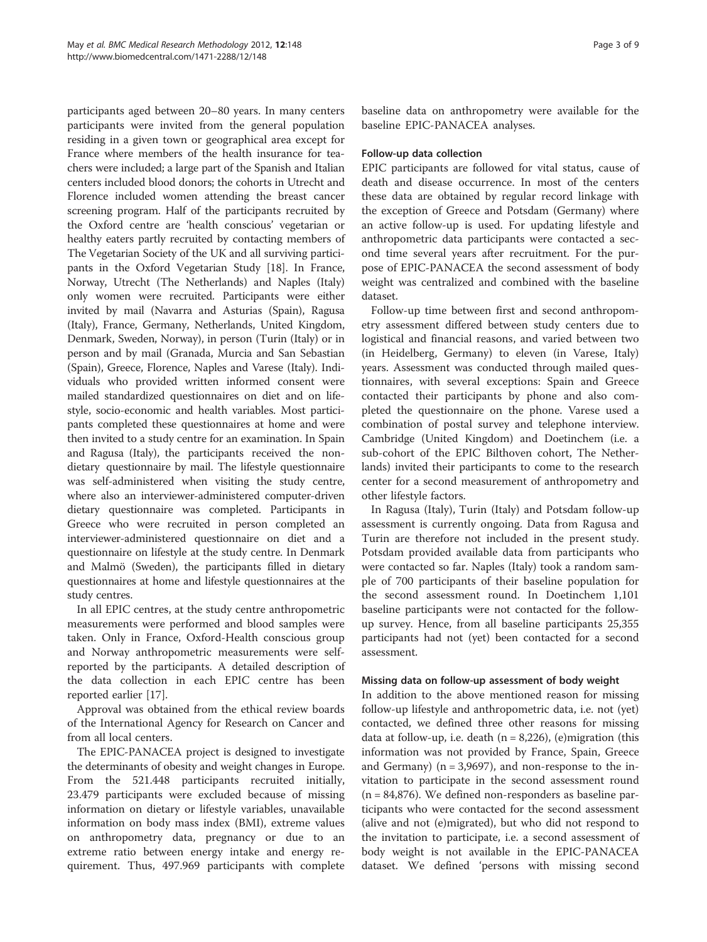participants aged between 20–80 years. In many centers participants were invited from the general population residing in a given town or geographical area except for France where members of the health insurance for teachers were included; a large part of the Spanish and Italian centers included blood donors; the cohorts in Utrecht and Florence included women attending the breast cancer screening program. Half of the participants recruited by the Oxford centre are 'health conscious' vegetarian or healthy eaters partly recruited by contacting members of The Vegetarian Society of the UK and all surviving participants in the Oxford Vegetarian Study [[18](#page-8-0)]. In France, Norway, Utrecht (The Netherlands) and Naples (Italy) only women were recruited. Participants were either invited by mail (Navarra and Asturias (Spain), Ragusa (Italy), France, Germany, Netherlands, United Kingdom, Denmark, Sweden, Norway), in person (Turin (Italy) or in person and by mail (Granada, Murcia and San Sebastian (Spain), Greece, Florence, Naples and Varese (Italy). Individuals who provided written informed consent were mailed standardized questionnaires on diet and on lifestyle, socio-economic and health variables. Most participants completed these questionnaires at home and were then invited to a study centre for an examination. In Spain and Ragusa (Italy), the participants received the nondietary questionnaire by mail. The lifestyle questionnaire was self-administered when visiting the study centre, where also an interviewer-administered computer-driven dietary questionnaire was completed. Participants in Greece who were recruited in person completed an interviewer-administered questionnaire on diet and a questionnaire on lifestyle at the study centre. In Denmark and Malmö (Sweden), the participants filled in dietary questionnaires at home and lifestyle questionnaires at the study centres.

In all EPIC centres, at the study centre anthropometric measurements were performed and blood samples were taken. Only in France, Oxford-Health conscious group and Norway anthropometric measurements were selfreported by the participants. A detailed description of the data collection in each EPIC centre has been reported earlier [\[17](#page-8-0)].

Approval was obtained from the ethical review boards of the International Agency for Research on Cancer and from all local centers.

The EPIC-PANACEA project is designed to investigate the determinants of obesity and weight changes in Europe. From the 521.448 participants recruited initially, 23.479 participants were excluded because of missing information on dietary or lifestyle variables, unavailable information on body mass index (BMI), extreme values on anthropometry data, pregnancy or due to an extreme ratio between energy intake and energy requirement. Thus, 497.969 participants with complete baseline data on anthropometry were available for the baseline EPIC-PANACEA analyses.

#### Follow-up data collection

EPIC participants are followed for vital status, cause of death and disease occurrence. In most of the centers these data are obtained by regular record linkage with the exception of Greece and Potsdam (Germany) where an active follow-up is used. For updating lifestyle and anthropometric data participants were contacted a second time several years after recruitment. For the purpose of EPIC-PANACEA the second assessment of body weight was centralized and combined with the baseline dataset.

Follow-up time between first and second anthropometry assessment differed between study centers due to logistical and financial reasons, and varied between two (in Heidelberg, Germany) to eleven (in Varese, Italy) years. Assessment was conducted through mailed questionnaires, with several exceptions: Spain and Greece contacted their participants by phone and also completed the questionnaire on the phone. Varese used a combination of postal survey and telephone interview. Cambridge (United Kingdom) and Doetinchem (i.e. a sub-cohort of the EPIC Bilthoven cohort, The Netherlands) invited their participants to come to the research center for a second measurement of anthropometry and other lifestyle factors.

In Ragusa (Italy), Turin (Italy) and Potsdam follow-up assessment is currently ongoing. Data from Ragusa and Turin are therefore not included in the present study. Potsdam provided available data from participants who were contacted so far. Naples (Italy) took a random sample of 700 participants of their baseline population for the second assessment round. In Doetinchem 1,101 baseline participants were not contacted for the followup survey. Hence, from all baseline participants 25,355 participants had not (yet) been contacted for a second assessment.

#### Missing data on follow-up assessment of body weight

In addition to the above mentioned reason for missing follow-up lifestyle and anthropometric data, i.e. not (yet) contacted, we defined three other reasons for missing data at follow-up, i.e. death  $(n = 8,226)$ , (e) migration (this information was not provided by France, Spain, Greece and Germany) ( $n = 3,9697$ ), and non-response to the invitation to participate in the second assessment round  $(n = 84,876)$ . We defined non-responders as baseline participants who were contacted for the second assessment (alive and not (e)migrated), but who did not respond to the invitation to participate, i.e. a second assessment of body weight is not available in the EPIC-PANACEA dataset. We defined 'persons with missing second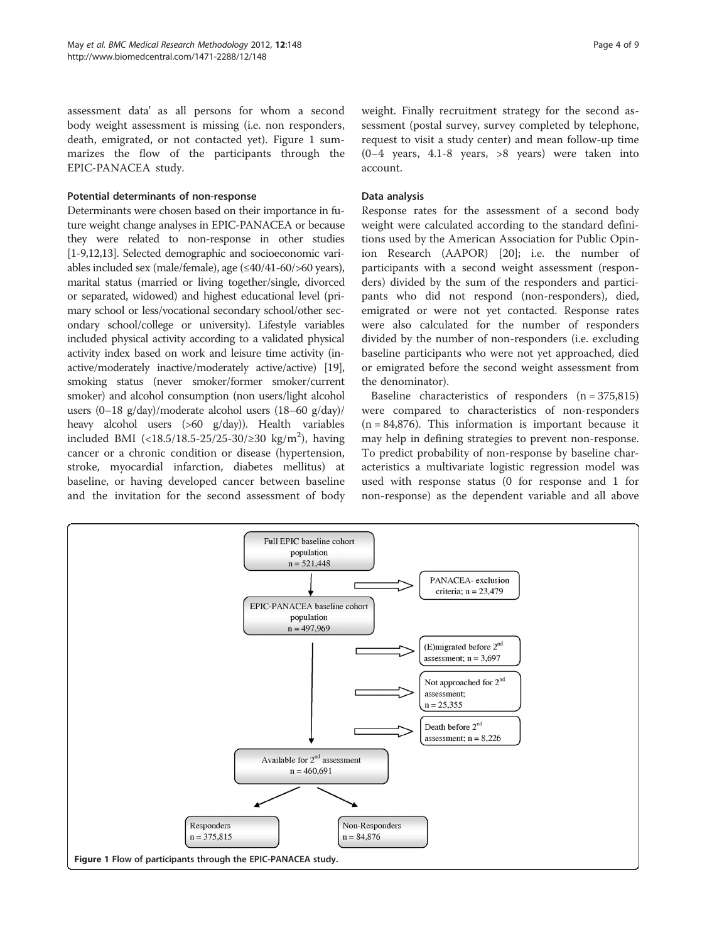assessment data' as all persons for whom a second body weight assessment is missing (i.e. non responders, death, emigrated, or not contacted yet). Figure 1 summarizes the flow of the participants through the EPIC-PANACEA study.

## Potential determinants of non-response

Determinants were chosen based on their importance in future weight change analyses in EPIC-PANACEA or because they were related to non-response in other studies [[1](#page-8-0)-[9,12,13](#page-8-0)]. Selected demographic and socioeconomic variables included sex (male/female), age  $(\leq 40/41 - 60/$ >60 years), marital status (married or living together/single, divorced or separated, widowed) and highest educational level (primary school or less/vocational secondary school/other secondary school/college or university). Lifestyle variables included physical activity according to a validated physical activity index based on work and leisure time activity (inactive/moderately inactive/moderately active/active) [\[19](#page-8-0)], smoking status (never smoker/former smoker/current smoker) and alcohol consumption (non users/light alcohol users (0–18 g/day)/moderate alcohol users (18–60 g/day)/ heavy alcohol users (>60 g/day)). Health variables included BMI (<18.5/18.5-25/25-30/≥30 kg/m<sup>2</sup>), having cancer or a chronic condition or disease (hypertension, stroke, myocardial infarction, diabetes mellitus) at baseline, or having developed cancer between baseline and the invitation for the second assessment of body

weight. Finally recruitment strategy for the second assessment (postal survey, survey completed by telephone, request to visit a study center) and mean follow-up time (0–4 years, 4.1-8 years, >8 years) were taken into account.

## Data analysis

Response rates for the assessment of a second body weight were calculated according to the standard definitions used by the American Association for Public Opinion Research (AAPOR) [[20](#page-8-0)]; i.e. the number of participants with a second weight assessment (responders) divided by the sum of the responders and participants who did not respond (non-responders), died, emigrated or were not yet contacted. Response rates were also calculated for the number of responders divided by the number of non-responders (i.e. excluding baseline participants who were not yet approached, died or emigrated before the second weight assessment from the denominator).

Baseline characteristics of responders  $(n = 375,815)$ were compared to characteristics of non-responders  $(n = 84,876)$ . This information is important because it may help in defining strategies to prevent non-response. To predict probability of non-response by baseline characteristics a multivariate logistic regression model was used with response status (0 for response and 1 for non-response) as the dependent variable and all above

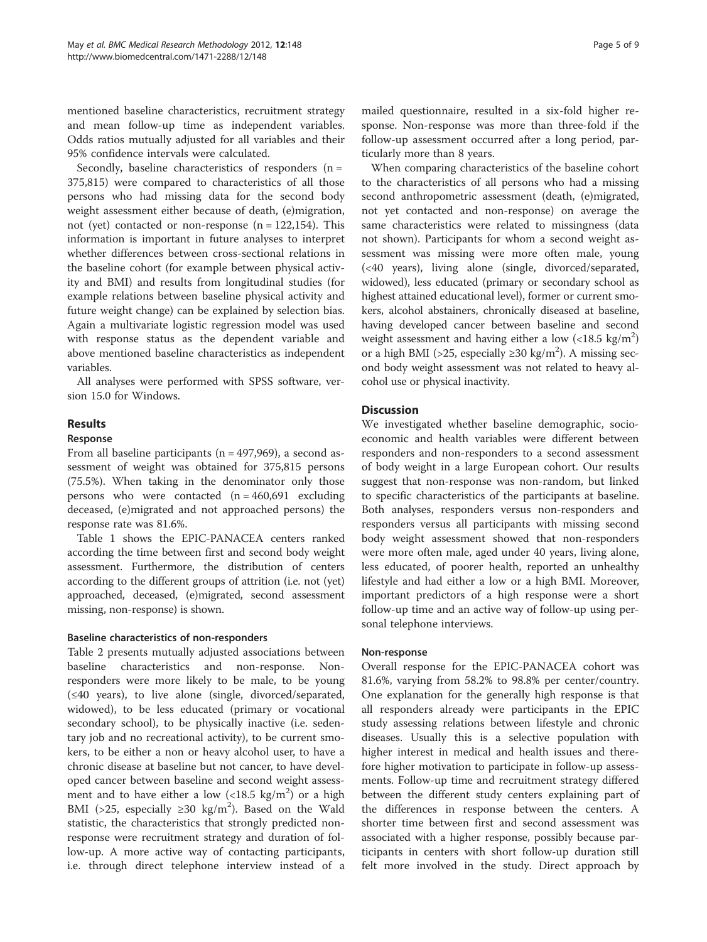mentioned baseline characteristics, recruitment strategy and mean follow-up time as independent variables. Odds ratios mutually adjusted for all variables and their 95% confidence intervals were calculated.

Secondly, baseline characteristics of responders  $(n =$ 375,815) were compared to characteristics of all those persons who had missing data for the second body weight assessment either because of death, (e)migration, not (yet) contacted or non-response  $(n = 122, 154)$ . This information is important in future analyses to interpret whether differences between cross-sectional relations in the baseline cohort (for example between physical activity and BMI) and results from longitudinal studies (for example relations between baseline physical activity and future weight change) can be explained by selection bias. Again a multivariate logistic regression model was used with response status as the dependent variable and above mentioned baseline characteristics as independent variables.

All analyses were performed with SPSS software, version 15.0 for Windows.

# Results

## Response

From all baseline participants ( $n = 497,969$ ), a second assessment of weight was obtained for 375,815 persons (75.5%). When taking in the denominator only those persons who were contacted  $(n = 460,691)$  excluding deceased, (e)migrated and not approached persons) the response rate was 81.6%.

Table [1](#page-5-0) shows the EPIC-PANACEA centers ranked according the time between first and second body weight assessment. Furthermore, the distribution of centers according to the different groups of attrition (i.e. not (yet) approached, deceased, (e)migrated, second assessment missing, non-response) is shown.

# Baseline characteristics of non-responders

Table [2](#page-6-0) presents mutually adjusted associations between baseline characteristics and non-response. Nonresponders were more likely to be male, to be young (≤40 years), to live alone (single, divorced/separated, widowed), to be less educated (primary or vocational secondary school), to be physically inactive (i.e. sedentary job and no recreational activity), to be current smokers, to be either a non or heavy alcohol user, to have a chronic disease at baseline but not cancer, to have developed cancer between baseline and second weight assessment and to have either a low  $\left( <18.5~\text{kg/m}^2 \right)$  or a high BMI (>25, especially  $\geq 30$  kg/m<sup>2</sup>). Based on the Wald statistic, the characteristics that strongly predicted nonresponse were recruitment strategy and duration of follow-up. A more active way of contacting participants, i.e. through direct telephone interview instead of a mailed questionnaire, resulted in a six-fold higher response. Non-response was more than three-fold if the follow-up assessment occurred after a long period, particularly more than 8 years.

When comparing characteristics of the baseline cohort to the characteristics of all persons who had a missing second anthropometric assessment (death, (e)migrated, not yet contacted and non-response) on average the same characteristics were related to missingness (data not shown). Participants for whom a second weight assessment was missing were more often male, young (<40 years), living alone (single, divorced/separated, widowed), less educated (primary or secondary school as highest attained educational level), former or current smokers, alcohol abstainers, chronically diseased at baseline, having developed cancer between baseline and second weight assessment and having either a low  $\left($  <18.5 kg/m<sup>2</sup>) or a high BMI (>25, especially ≥30 kg/m<sup>2</sup>). A missing second body weight assessment was not related to heavy alcohol use or physical inactivity.

# **Discussion**

We investigated whether baseline demographic, socioeconomic and health variables were different between responders and non-responders to a second assessment of body weight in a large European cohort. Our results suggest that non-response was non-random, but linked to specific characteristics of the participants at baseline. Both analyses, responders versus non-responders and responders versus all participants with missing second body weight assessment showed that non-responders were more often male, aged under 40 years, living alone, less educated, of poorer health, reported an unhealthy lifestyle and had either a low or a high BMI. Moreover, important predictors of a high response were a short follow-up time and an active way of follow-up using personal telephone interviews.

#### Non-response

Overall response for the EPIC-PANACEA cohort was 81.6%, varying from 58.2% to 98.8% per center/country. One explanation for the generally high response is that all responders already were participants in the EPIC study assessing relations between lifestyle and chronic diseases. Usually this is a selective population with higher interest in medical and health issues and therefore higher motivation to participate in follow-up assessments. Follow-up time and recruitment strategy differed between the different study centers explaining part of the differences in response between the centers. A shorter time between first and second assessment was associated with a higher response, possibly because participants in centers with short follow-up duration still felt more involved in the study. Direct approach by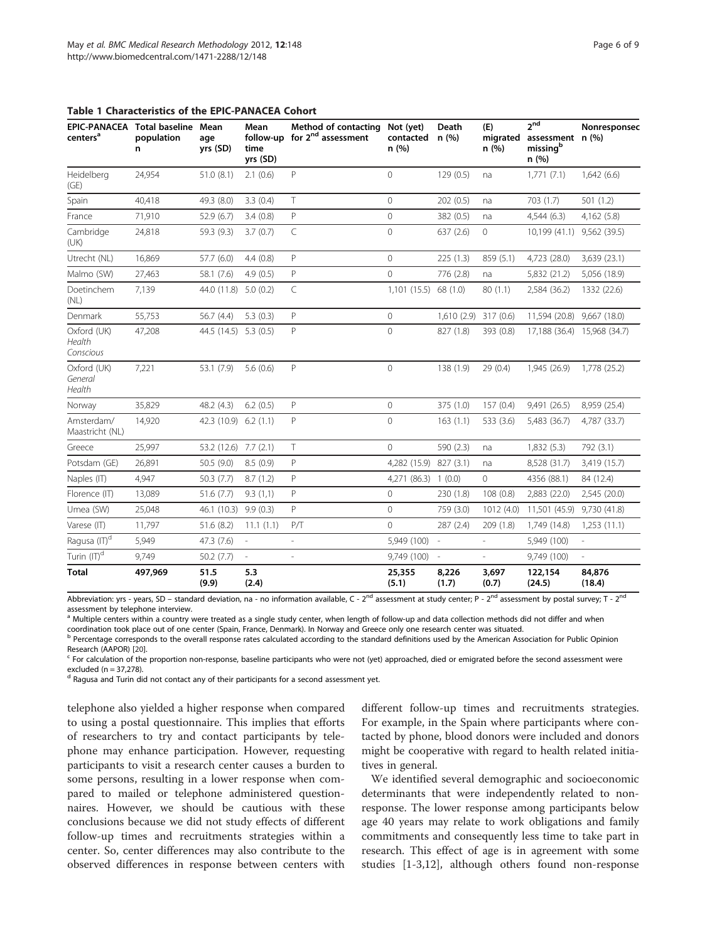<span id="page-5-0"></span>

| Table 1 Characteristics of the EPIC-PANACEA Cohort |  |
|----------------------------------------------------|--|
|----------------------------------------------------|--|

| EPIC-PANACEA Total baseline Mean<br>centers <sup>a</sup> | population<br>n | age<br>yrs (SD)       | Mean<br>time<br>yrs (SD) | Method of contacting<br>follow-up for 2 <sup>nd</sup> assessment | Not (yet)<br>contacted<br>n (%) | Death<br>n(%)            | (E)<br>migrated<br>n(%)  | 2 <sub>nd</sub><br>assessment $n$ (%)<br>missing <sup>b</sup><br>n(%) | Nonresponsec             |
|----------------------------------------------------------|-----------------|-----------------------|--------------------------|------------------------------------------------------------------|---------------------------------|--------------------------|--------------------------|-----------------------------------------------------------------------|--------------------------|
| Heidelberg<br>(GE)                                       | 24,954          | 51.0(8.1)             | 2.1(0.6)                 | P                                                                | 0                               | 129 (0.5)                | na                       | 1,771(7.1)                                                            | 1,642(6.6)               |
| Spain                                                    | 40,418          | 49.3 (8.0)            | 3.3(0.4)                 | T                                                                | 0                               | 202(0.5)                 | na                       | 703 (1.7)                                                             | 501(1.2)                 |
| France                                                   | 71,910          | 52.9 (6.7)            | 3.4(0.8)                 | P                                                                | 0                               | 382 (0.5)                | na                       | 4,544(6.3)                                                            | 4,162 (5.8)              |
| Cambridge<br>(UK)                                        | 24,818          | 59.3 (9.3)            | 3.7(0.7)                 | C                                                                | 0                               | 637 (2.6)                | $\circ$                  | 10,199 (41.1)                                                         | 9,562 (39.5)             |
| Utrecht (NL)                                             | 16,869          | 57.7 (6.0)            | 4.4(0.8)                 | P                                                                | 0                               | 225(1.3)                 | 859 (5.1)                | 4,723 (28.0)                                                          | 3,639 (23.1)             |
| Malmo (SW)                                               | 27,463          | 58.1 (7.6)            | 4.9(0.5)                 | P                                                                | $\Omega$                        | 776 (2.8)                | na                       | 5,832 (21.2)                                                          | 5,056 (18.9)             |
| Doetinchem<br>(NL)                                       | 7,139           | 44.0 (11.8)           | 5.0(0.2)                 | C                                                                | $1,101$ (15.5) 68 (1.0)         |                          | 80(1.1)                  | 2,584 (36.2)                                                          | 1332 (22.6)              |
| Denmark                                                  | 55,753          | 56.7 (4.4)            | 5.3(0.3)                 | P                                                                | 0                               | 1,610(2.9)               | 317 (0.6)                | 11,594 (20.8)                                                         | 9,667 (18.0)             |
| Oxford (UK)<br>Health<br>Conscious                       | 47,208          | 44.5 (14.5) 5.3 (0.5) |                          | P                                                                | $\overline{0}$                  | 827 (1.8)                | 393 (0.8)                | 17,188 (36.4)                                                         | 15,968 (34.7)            |
| Oxford (UK)<br>General<br>Health                         | 7,221           | 53.1 (7.9)            | 5.6(0.6)                 | P                                                                | $\mathbf 0$                     | 138 (1.9)                | 29 (0.4)                 | 1,945 (26.9)                                                          | 1,778 (25.2)             |
| Norway                                                   | 35,829          | 48.2 (4.3)            | 6.2(0.5)                 | P                                                                | 0                               | 375 (1.0)                | 157(0.4)                 | 9,491 (26.5)                                                          | 8,959 (25.4)             |
| Amsterdam/<br>Maastricht (NL)                            | 14,920          | 42.3 (10.9) 6.2 (1.1) |                          | P                                                                | $\mathbf{0}$                    | 163(1.1)                 | 533 (3.6)                | 5,483 (36.7)                                                          | 4,787 (33.7)             |
| Greece                                                   | 25,997          | 53.2 (12.6)           | 7.7(2.1)                 | T                                                                | 0                               | 590 (2.3)                | na                       | 1,832 (5.3)                                                           | 792 (3.1)                |
| Potsdam (GE)                                             | 26,891          | 50.5(9.0)             | 8.5(0.9)                 | P                                                                | 4,282 (15.9)                    | 827(3.1)                 | na                       | 8,528 (31.7)                                                          | 3,419 (15.7)             |
| Naples (IT)                                              | 4.947           | 50.3(7.7)             | 8.7(1.2)                 | P                                                                | 4,271 (86.3)                    | 1(0.0)                   | $\circ$                  | 4356 (88.1)                                                           | 84 (12.4)                |
| Florence (IT)                                            | 13,089          | 51.6(7.7)             | 9.3(1,1)                 | P                                                                | 0                               | 230 (1.8)                | 108 (0.8)                | 2,883 (22.0)                                                          | 2,545 (20.0)             |
| Umea (SW)                                                | 25,048          | 46.1 (10.3)           | 9.9(0.3)                 | P                                                                | 0                               | 759 (3.0)                | 1012 (4.0)               | 11,501 (45.9)                                                         | 9,730 (41.8)             |
| Varese (IT)                                              | 11,797          | 51.6 (8.2)            | 11.1(1.1)                | P/T                                                              | 0                               | 287 (2.4)                | 209 (1.8)                | 1,749 (14.8)                                                          | 1,253(11.1)              |
| Ragusa (IT) <sup>d</sup>                                 | 5,949           | 47.3 (7.6)            | $\overline{\phantom{a}}$ | ÷,                                                               | 5,949 (100)                     | $\overline{\phantom{a}}$ | $\overline{\phantom{a}}$ | 5,949 (100)                                                           | $\overline{\phantom{a}}$ |
| Turin (IT) <sup>d</sup>                                  | 9,749           | 50.2(7.7)             | $\overline{\phantom{a}}$ | $\overline{\phantom{m}}$                                         | 9,749 (100)                     | $\overline{\phantom{a}}$ | $\frac{1}{2}$            | 9,749 (100)                                                           | $\overline{\phantom{a}}$ |
| <b>Total</b>                                             | 497,969         | 51.5<br>(9.9)         | 5.3<br>(2.4)             |                                                                  | 25,355<br>(5.1)                 | 8,226<br>(1.7)           | 3,697<br>(0.7)           | 122,154<br>(24.5)                                                     | 84,876<br>(18.4)         |

Abbreviation: yrs - years, SD – standard deviation, na - no information available, C -  $2^{nd}$  assessment at study center; P -  $2^{nd}$  assessment by postal survey; T -  $2^{nd}$ assessment by telephone interview.

<sup>a</sup> Multiple centers within a country were treated as a single study center, when length of follow-up and data collection methods did not differ and when

coordination took place out of one center (Spain, France, Denmark). In Norway and Greece only one research center was situated.

<sup>b</sup> Percentage corresponds to the overall response rates calculated according to the standard definitions used by the American Association for Public Opinion Research (AAPOR) [20].

<sup>c</sup> For calculation of the proportion non-response, baseline participants who were not (yet) approached, died or emigrated before the second assessment were excluded ( $n = 37.278$ ).

<sup>d</sup> Ragusa and Turin did not contact any of their participants for a second assessment yet.

telephone also yielded a higher response when compared to using a postal questionnaire. This implies that efforts of researchers to try and contact participants by telephone may enhance participation. However, requesting participants to visit a research center causes a burden to some persons, resulting in a lower response when compared to mailed or telephone administered questionnaires. However, we should be cautious with these conclusions because we did not study effects of different follow-up times and recruitments strategies within a center. So, center differences may also contribute to the observed differences in response between centers with different follow-up times and recruitments strategies. For example, in the Spain where participants where contacted by phone, blood donors were included and donors might be cooperative with regard to health related initiatives in general.

We identified several demographic and socioeconomic determinants that were independently related to nonresponse. The lower response among participants below age 40 years may relate to work obligations and family commitments and consequently less time to take part in research. This effect of age is in agreement with some studies [\[1](#page-8-0)-[3,12\]](#page-8-0), although others found non-response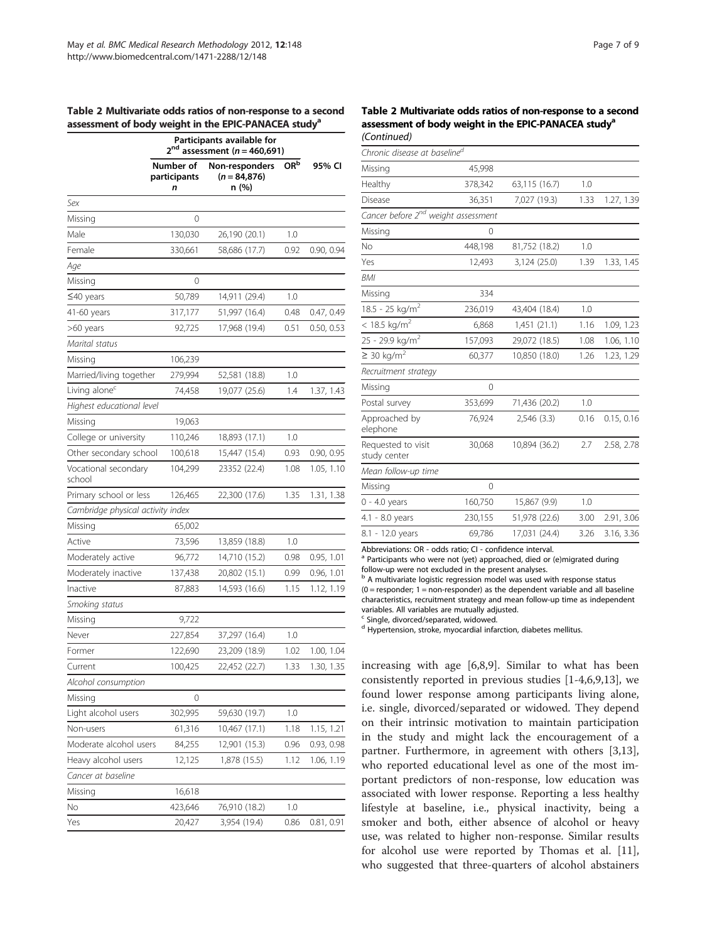#### <span id="page-6-0"></span>Table 2 Multivariate odds ratios of non-response to a second  $\alpha$ ssment of body weight in the FPIC-PANACFA study $^{\rm a}$

|                                   | Participants available for<br>$2nd$ assessment (n = 460,691) |                                            |                 |            |
|-----------------------------------|--------------------------------------------------------------|--------------------------------------------|-----------------|------------|
|                                   | Number of<br>participants<br>n                               | Non-responders<br>$(n = 84, 876)$<br>n (%) | OR <sup>b</sup> | 95% CI     |
| Sex                               |                                                              |                                            |                 |            |
| Missing                           | 0                                                            |                                            |                 |            |
| Male                              | 130,030                                                      | 26,190 (20.1)                              | 1.0             |            |
| Female                            | 330,661                                                      | 58,686 (17.7)                              | 0.92            | 0.90, 0.94 |
| Age                               |                                                              |                                            |                 |            |
| Missing                           | 0                                                            |                                            |                 |            |
| $≤40$ years                       | 50,789                                                       | 14,911 (29.4)                              | 1.0             |            |
| 41-60 years                       | 317,177                                                      | 51,997 (16.4)                              | 0.48            | 0.47, 0.49 |
| >60 years                         | 92,725                                                       | 17,968 (19.4)                              | 0.51            | 0.50, 0.53 |
| Marital status                    |                                                              |                                            |                 |            |
| Missing                           | 106,239                                                      |                                            |                 |            |
| Married/living together           | 279,994                                                      | 52,581 (18.8)                              | 1.0             |            |
| Living alone <sup>c</sup>         | 74,458                                                       | 19,077 (25.6)                              | 1.4             | 1.37, 1.43 |
| Highest educational level         |                                                              |                                            |                 |            |
| Missing                           | 19,063                                                       |                                            |                 |            |
| College or university             | 110,246                                                      | 18,893 (17.1)                              | 1.0             |            |
| Other secondary school            | 100,618                                                      | 15,447 (15.4)                              | 0.93            | 0.90, 0.95 |
| Vocational secondary<br>school    | 104,299                                                      | 23352 (22.4)                               | 1.08            | 1.05, 1.10 |
| Primary school or less            | 126,465                                                      | 22,300 (17.6)                              | 1.35            | 1.31, 1.38 |
| Cambridge physical activity index |                                                              |                                            |                 |            |
| Missing                           | 65,002                                                       |                                            |                 |            |
| Active                            | 73,596                                                       | 13,859 (18.8)                              | 1.0             |            |
| Moderately active                 | 96,772                                                       | 14,710 (15.2)                              | 0.98            | 0.95, 1.01 |
| Moderately inactive               | 137,438                                                      | 20,802 (15.1)                              | 0.99            | 0.96, 1.01 |
| Inactive                          | 87,883                                                       | 14,593 (16.6)                              | 1.15            | 1.12, 1.19 |
| Smoking status                    |                                                              |                                            |                 |            |
| Missing                           | 9,722                                                        |                                            |                 |            |
| Never                             | 227,854                                                      | 37,297 (16.4)                              | 1.0             |            |
| Former                            | 122,690                                                      | 23,209 (18.9)                              | 1.02            | 1.00, 1.04 |
| Current                           | 100,425                                                      | 22,452 (22.7)                              | 1.33            | 1.30, 1.35 |
| Alcohol consumption               |                                                              |                                            |                 |            |
| Missing                           | 0                                                            |                                            |                 |            |
| Light alcohol users               | 302,995                                                      | 59,630 (19.7)                              | 1.0             |            |
| Non-users                         | 61,316                                                       | 10,467 (17.1)                              | 1.18            | 1.15, 1.21 |
| Moderate alcohol users            | 84,255                                                       | 12,901 (15.3)                              | 0.96            | 0.93, 0.98 |
| Heavy alcohol users               | 12,125                                                       | 1,878 (15.5)                               | 1.12            | 1.06, 1.19 |
| Cancer at baseline                |                                                              |                                            |                 |            |
| Missing                           | 16,618                                                       |                                            |                 |            |
| No                                | 423,646                                                      | 76,910 (18.2)                              | 1.0             |            |
| Yes                               | 20,427                                                       | 3,954 (19.4)                               | 0.86            | 0.81, 0.91 |

#### Table 2 Multivariate odds ratios of non-response to a second assessment of body weight in the EPIC-PANACEA study<sup>a</sup> (Continued)

| Chronic disease at baseline <sup>d</sup>        |             |               |      |            |
|-------------------------------------------------|-------------|---------------|------|------------|
| Missing                                         | 45,998      |               |      |            |
| Healthy                                         | 378,342     | 63,115 (16.7) | 1.0  |            |
| <b>Disease</b>                                  | 36,351      | 7,027 (19.3)  | 1.33 | 1.27, 1.39 |
| Cancer before 2 <sup>nd</sup> weight assessment |             |               |      |            |
| Missing                                         | $\mathbf 0$ |               |      |            |
| No                                              | 448,198     | 81,752 (18.2) | 1.0  |            |
| Yes                                             | 12,493      | 3,124 (25.0)  | 1.39 | 1.33, 1.45 |
| <b>BMI</b>                                      |             |               |      |            |
| Missing                                         | 334         |               |      |            |
| 18.5 - 25 kg/m <sup>2</sup>                     | 236,019     | 43,404 (18.4) | 1.0  |            |
| $< 18.5$ kg/m <sup>2</sup>                      | 6,868       | 1,451(21.1)   | 1.16 | 1.09, 1.23 |
| 25 - 29.9 kg/m <sup>2</sup>                     | 157,093     | 29,072 (18.5) | 1.08 | 1.06, 1.10 |
| $\geq$ 30 kg/m <sup>2</sup>                     | 60,377      | 10,850 (18.0) | 1.26 | 1.23, 1.29 |
| Recruitment strategy                            |             |               |      |            |
| Missing                                         | $\Omega$    |               |      |            |
| Postal survey                                   | 353,699     | 71,436 (20.2) | 1.0  |            |
| Approached by<br>elephone                       | 76,924      | 2,546 (3.3)   | 0.16 | 0.15, 0.16 |
| Requested to visit<br>study center              | 30,068      | 10,894 (36.2) | 2.7  | 2.58, 2.78 |
| Mean follow-up time                             |             |               |      |            |
| Missing                                         | 0           |               |      |            |
| $0 - 4.0$ years                                 | 160,750     | 15,867 (9.9)  | 1.0  |            |
| 4.1 - 8.0 years                                 | 230,155     | 51,978 (22.6) | 3.00 | 2.91, 3.06 |
| 8.1 - 12.0 years                                | 69,786      | 17,031 (24.4) | 3.26 | 3.16, 3.36 |
|                                                 |             |               |      |            |

Abbreviations: OR - odds ratio; CI - confidence interval.

<sup>a</sup> Participants who were not (yet) approached, died or (e)migrated during follow-up were not excluded in the present analyses.

 $<sup>b</sup>$  A multivariate logistic regression model was used with response status</sup>  $(0 =$  responder; 1 = non-responder) as the dependent variable and all baseline characteristics, recruitment strategy and mean follow-up time as independent variables. All variables are mutually adjusted.

<sup>c</sup> Single, divorced/separated, widowed.

<sup>d</sup> Hypertension, stroke, myocardial infarction, diabetes mellitus.

increasing with age [\[6,8,9](#page-8-0)]. Similar to what has been consistently reported in previous studies [\[1-4](#page-8-0),[6,9,13\]](#page-8-0), we found lower response among participants living alone, i.e. single, divorced/separated or widowed. They depend on their intrinsic motivation to maintain participation in the study and might lack the encouragement of a partner. Furthermore, in agreement with others [\[3,13](#page-8-0)], who reported educational level as one of the most important predictors of non-response, low education was associated with lower response. Reporting a less healthy lifestyle at baseline, i.e., physical inactivity, being a smoker and both, either absence of alcohol or heavy use, was related to higher non-response. Similar results for alcohol use were reported by Thomas et al. [\[11](#page-8-0)], who suggested that three-quarters of alcohol abstainers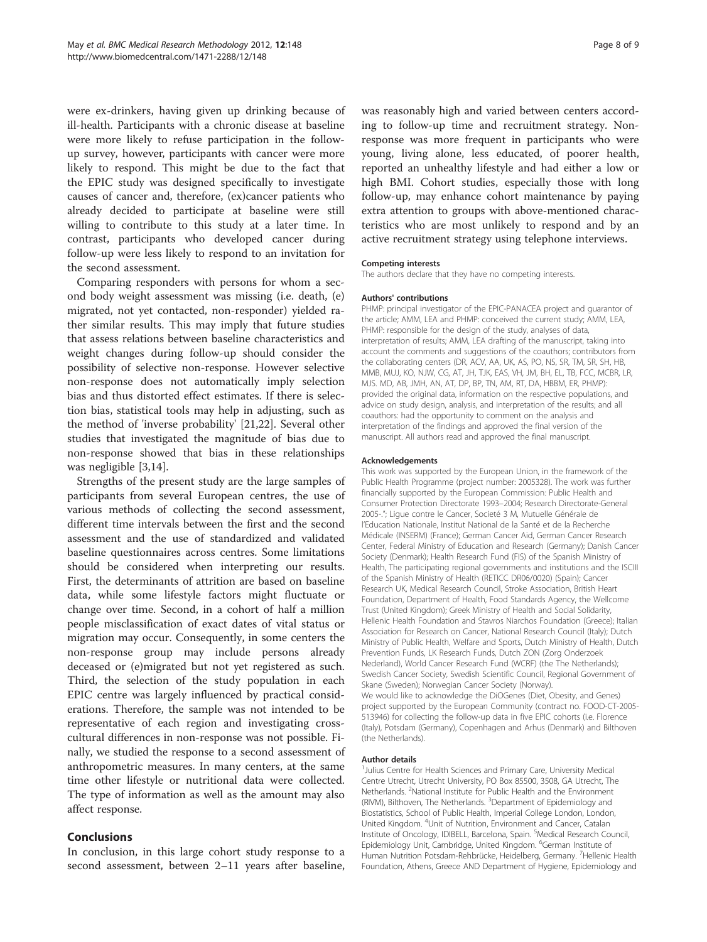were ex-drinkers, having given up drinking because of ill-health. Participants with a chronic disease at baseline were more likely to refuse participation in the followup survey, however, participants with cancer were more likely to respond. This might be due to the fact that the EPIC study was designed specifically to investigate causes of cancer and, therefore, (ex)cancer patients who already decided to participate at baseline were still willing to contribute to this study at a later time. In contrast, participants who developed cancer during follow-up were less likely to respond to an invitation for the second assessment.

Comparing responders with persons for whom a second body weight assessment was missing (i.e. death, (e) migrated, not yet contacted, non-responder) yielded rather similar results. This may imply that future studies that assess relations between baseline characteristics and weight changes during follow-up should consider the possibility of selective non-response. However selective non-response does not automatically imply selection bias and thus distorted effect estimates. If there is selection bias, statistical tools may help in adjusting, such as the method of 'inverse probability' [[21,22\]](#page-8-0). Several other studies that investigated the magnitude of bias due to non-response showed that bias in these relationships was negligible [[3,14\]](#page-8-0).

Strengths of the present study are the large samples of participants from several European centres, the use of various methods of collecting the second assessment, different time intervals between the first and the second assessment and the use of standardized and validated baseline questionnaires across centres. Some limitations should be considered when interpreting our results. First, the determinants of attrition are based on baseline data, while some lifestyle factors might fluctuate or change over time. Second, in a cohort of half a million people misclassification of exact dates of vital status or migration may occur. Consequently, in some centers the non-response group may include persons already deceased or (e)migrated but not yet registered as such. Third, the selection of the study population in each EPIC centre was largely influenced by practical considerations. Therefore, the sample was not intended to be representative of each region and investigating crosscultural differences in non-response was not possible. Finally, we studied the response to a second assessment of anthropometric measures. In many centers, at the same time other lifestyle or nutritional data were collected. The type of information as well as the amount may also affect response.

# Conclusions

In conclusion, in this large cohort study response to a second assessment, between 2–11 years after baseline, was reasonably high and varied between centers according to follow-up time and recruitment strategy. Nonresponse was more frequent in participants who were young, living alone, less educated, of poorer health, reported an unhealthy lifestyle and had either a low or high BMI. Cohort studies, especially those with long follow-up, may enhance cohort maintenance by paying extra attention to groups with above-mentioned characteristics who are most unlikely to respond and by an active recruitment strategy using telephone interviews.

#### Competing interests

The authors declare that they have no competing interests.

#### Authors' contributions

PHMP: principal investigator of the EPIC-PANACEA project and guarantor of the article; AMM, LEA and PHMP: conceived the current study; AMM, LEA, PHMP: responsible for the design of the study, analyses of data, interpretation of results; AMM, LEA drafting of the manuscript, taking into account the comments and suggestions of the coauthors; contributors from the collaborating centers (DR, ACV, AA, UK, AS, PO, NS, SR, TM, SR, SH, HB, MMB, MUJ, KO, NJW, CG, AT, JH, TJK, EAS, VH, JM, BH, EL, TB, FCC, MCBR, LR, MJS. MD, AB, JMH, AN, AT, DP, BP, TN, AM, RT, DA, HBBM, ER, PHMP): provided the original data, information on the respective populations, and advice on study design, analysis, and interpretation of the results; and all coauthors: had the opportunity to comment on the analysis and interpretation of the findings and approved the final version of the manuscript. All authors read and approved the final manuscript.

#### Acknowledgements

This work was supported by the European Union, in the framework of the Public Health Programme (project number: 2005328). The work was further financially supported by the European Commission: Public Health and Consumer Protection Directorate 1993–2004; Research Directorate-General 2005-."; Ligue contre le Cancer, Societé 3 M, Mutuelle Générale de l'Education Nationale, Institut National de la Santé et de la Recherche Médicale (INSERM) (France); German Cancer Aid, German Cancer Research Center, Federal Ministry of Education and Research (Germany); Danish Cancer Society (Denmark); Health Research Fund (FIS) of the Spanish Ministry of Health, The participating regional governments and institutions and the ISCIII of the Spanish Ministry of Health (RETICC DR06/0020) (Spain); Cancer Research UK, Medical Research Council, Stroke Association, British Heart Foundation, Department of Health, Food Standards Agency, the Wellcome Trust (United Kingdom); Greek Ministry of Health and Social Solidarity, Hellenic Health Foundation and Stavros Niarchos Foundation (Greece); Italian Association for Research on Cancer, National Research Council (Italy); Dutch Ministry of Public Health, Welfare and Sports, Dutch Ministry of Health, Dutch Prevention Funds, LK Research Funds, Dutch ZON (Zorg Onderzoek Nederland), World Cancer Research Fund (WCRF) (the The Netherlands); Swedish Cancer Society, Swedish Scientific Council, Regional Government of Skane (Sweden); Norwegian Cancer Society (Norway). We would like to acknowledge the DiOGenes (Diet, Obesity, and Genes) project supported by the European Community (contract no. FOOD-CT-2005- 513946) for collecting the follow-up data in five EPIC cohorts (i.e. Florence (Italy), Potsdam (Germany), Copenhagen and Arhus (Denmark) and Bilthoven (the Netherlands).

#### Author details

<sup>1</sup> Julius Centre for Health Sciences and Primary Care, University Medical Centre Utrecht, Utrecht University, PO Box 85500, 3508, GA Utrecht, The Netherlands. <sup>2</sup>National Institute for Public Health and the Environment (RIVM), Bilthoven, The Netherlands. <sup>3</sup>Department of Epidemiology and Biostatistics, School of Public Health, Imperial College London, London, United Kingdom. <sup>4</sup>Unit of Nutrition, Environment and Cancer, Catalan Institute of Oncology, IDIBELL, Barcelona, Spain. <sup>5</sup>Medical Research Council Epidemiology Unit, Cambridge, United Kingdom. <sup>6</sup>German Institute of Human Nutrition Potsdam-Rehbrücke, Heidelberg, Germany. <sup>7</sup>Hellenic Health Foundation, Athens, Greece AND Department of Hygiene, Epidemiology and